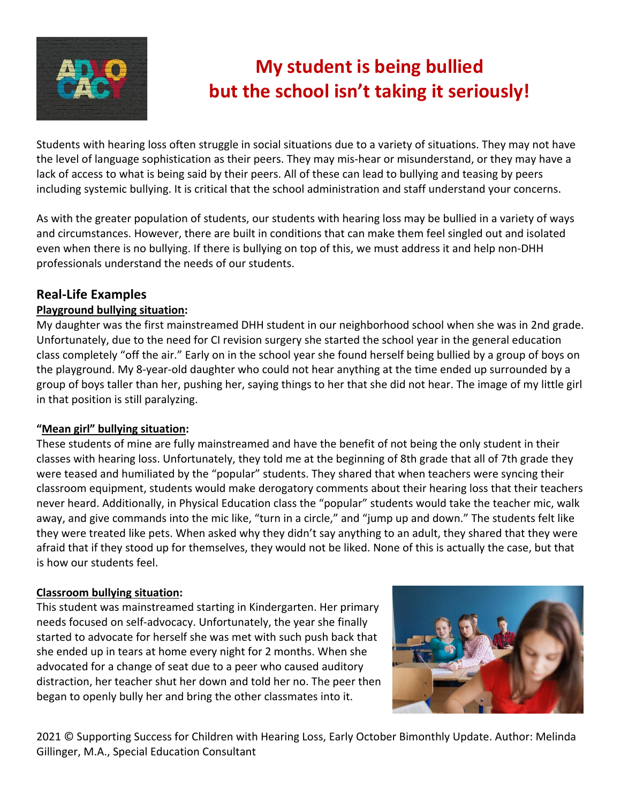

# **My student is being bullied but the school isn't taking it seriously!**

Students with hearing loss often struggle in social situations due to a variety of situations. They may not have the level of language sophistication as their peers. They may mis-hear or misunderstand, or they may have a lack of access to what is being said by their peers. All of these can lead to bullying and teasing by peers including systemic bullying. It is critical that the school administration and staff understand your concerns.

As with the greater population of students, our students with hearing loss may be bullied in a variety of ways and circumstances. However, there are built in conditions that can make them feel singled out and isolated even when there is no bullying. If there is bullying on top of this, we must address it and help non-DHH professionals understand the needs of our students.

## **Real-Life Examples**

#### **Playground bullying situation:**

My daughter was the first mainstreamed DHH student in our neighborhood school when she was in 2nd grade. Unfortunately, due to the need for CI revision surgery she started the school year in the general education class completely "off the air." Early on in the school year she found herself being bullied by a group of boys on the playground. My 8-year-old daughter who could not hear anything at the time ended up surrounded by a group of boys taller than her, pushing her, saying things to her that she did not hear. The image of my little girl in that position is still paralyzing.

#### **"Mean girl" bullying situation:**

These students of mine are fully mainstreamed and have the benefit of not being the only student in their classes with hearing loss. Unfortunately, they told me at the beginning of 8th grade that all of 7th grade they were teased and humiliated by the "popular" students. They shared that when teachers were syncing their classroom equipment, students would make derogatory comments about their hearing loss that their teachers never heard. Additionally, in Physical Education class the "popular" students would take the teacher mic, walk away, and give commands into the mic like, "turn in a circle," and "jump up and down." The students felt like they were treated like pets. When asked why they didn't say anything to an adult, they shared that they were afraid that if they stood up for themselves, they would not be liked. None of this is actually the case, but that is how our students feel.

#### **Classroom bullying situation:**

This student was mainstreamed starting in Kindergarten. Her primary needs focused on self-advocacy. Unfortunately, the year she finally started to advocate for herself she was met with such push back that she ended up in tears at home every night for 2 months. When she advocated for a change of seat due to a peer who caused auditory distraction, her teacher shut her down and told her no. The peer then began to openly bully her and bring the other classmates into it.



2021 © Supporting Success for Children with Hearing Loss, Early October Bimonthly Update. Author: Melinda Gillinger, M.A., Special Education Consultant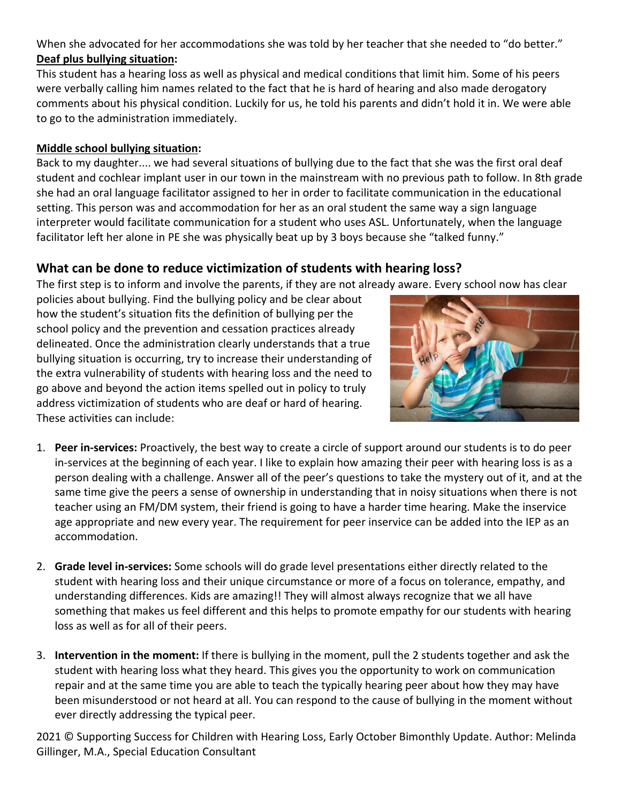When she advocated for her accommodations she was told by her teacher that she needed to "do better." **Deaf plus bullying situation:**

This student has a hearing loss as well as physical and medical conditions that limit him. Some of his peers were verbally calling him names related to the fact that he is hard of hearing and also made derogatory comments about his physical condition. Luckily for us, he told his parents and didn't hold it in. We were able to go to the administration immediately.

#### **Middle school bullying situation:**

Back to my daughter.... we had several situations of bullying due to the fact that she was the first oral deaf student and cochlear implant user in our town in the mainstream with no previous path to follow. In 8th grade she had an oral language facilitator assigned to her in order to facilitate communication in the educational setting. This person was and accommodation for her as an oral student the same way a sign language interpreter would facilitate communication for a student who uses ASL. Unfortunately, when the language facilitator left her alone in PE she was physically beat up by 3 boys because she "talked funny."

### **What can be done to reduce victimization of students with hearing loss?**

The first step is to inform and involve the parents, if they are not already aware. Every school now has clear

policies about bullying. Find the bullying policy and be clear about how the student's situation fits the definition of bullying per the school policy and the prevention and cessation practices already delineated. Once the administration clearly understands that a true bullying situation is occurring, try to increase their understanding of the extra vulnerability of students with hearing loss and the need to go above and beyond the action items spelled out in policy to truly address victimization of students who are deaf or hard of hearing. These activities can include:



- 1. **Peer in-services:** Proactively, the best way to create a circle of support around our students is to do peer in-services at the beginning of each year. I like to explain how amazing their peer with hearing loss is as a person dealing with a challenge. Answer all of the peer's questions to take the mystery out of it, and at the same time give the peers a sense of ownership in understanding that in noisy situations when there is not teacher using an FM/DM system, their friend is going to have a harder time hearing. Make the inservice age appropriate and new every year. The requirement for peer inservice can be added into the IEP as an accommodation.
- 2. **Grade level in-services:** Some schools will do grade level presentations either directly related to the student with hearing loss and their unique circumstance or more of a focus on tolerance, empathy, and understanding differences. Kids are amazing!! They will almost always recognize that we all have something that makes us feel different and this helps to promote empathy for our students with hearing loss as well as for all of their peers.
- 3. **Intervention in the moment:** If there is bullying in the moment, pull the 2 students together and ask the student with hearing loss what they heard. This gives you the opportunity to work on communication repair and at the same time you are able to teach the typically hearing peer about how they may have been misunderstood or not heard at all. You can respond to the cause of bullying in the moment without ever directly addressing the typical peer.

2021 © Supporting Success for Children with Hearing Loss, Early October Bimonthly Update. Author: Melinda Gillinger, M.A., Special Education Consultant